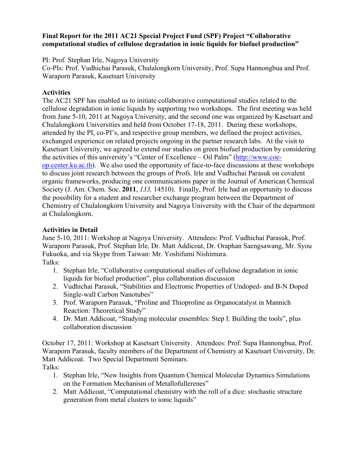### **Final Report for the 2011 AC21 Special Project Fund (SPF) Project "Collaborative computational studies of cellulose degradation in ionic liquids for biofuel production"**

PI: Prof. Stephan Irle, Nagoya University

Co-PIs: Prof. Vudhichai Parasuk, Chulalongkorn University, Prof. Supa Hannongbua and Prof. Waraporn Parasuk, Kasetsart University

## **Activities**

The AC21 SPF has enabled us to initiate collaborative computational studies related to the cellulose degradation in ionic liquids by supporting two workshops. The first meeting was held from June 5-10, 2011 at Nagoya University, and the second one was organized by Kasetsart and Chulalongkorn Universities and held from October 17-18, 2011. During these workshops, attended by the PI, co-PI's, and respective group members, we defined the project activities, exchanged experience on related projects ongoing in the partner research labs. At the visit to Kasetsart University, we agreed to extend our studies on green biofuel production by considering the activities of this university's "Center of Excellence – Oil Palm" [\(http://www.coe](http://www.coe-op.center.ku.ac.th/)[op.center.ku.ac.th\)](http://www.coe-op.center.ku.ac.th/). We also used the opportunity of face-to-face discussions at these workshops to discuss joint research between the groups of Profs. Irle and Vudhichai Parasuk on covalent organic frameworks, producing one communications paper in the Journal of American Chemical Society (J. Am. Chem. Soc. **2011**, *133,* 14510). Finally, Prof. Irle had an opportunity to discuss the possibility for a student and researcher exchange program between the Department of Chemistry of Chulalongkorn University and Nagoya University with the Chair of the department at Chulalongkorn.

# **Activities in Detail**

June 5-10, 2011: Workshop at Nagoya University. Attendees: Prof. Vudhichai Parasuk, Prof. Waraporn Parasuk, Prof. Stephan Irle, Dr. Matt Addicoat, Dr. Oraphan Saengsawang, Mr. Syou Fukuoka, and via Skype from Taiwan: Mr. Yoshifumi Nishimura. Talks:

- 1. Stephan Irle, "Collaborative computational studies of cellulose degradation in ionic liquids for biofuel production", plus collaboration discussion
- 2. Vudhichai Parasuk, "Stabilities and Electronic Properties of Undoped- and B-N Doped Single-wall Carbon Nanotubes"
- 3. Prof. Waraporn Parasuk, "Proline and Thioproline as Organocatalyst in Mannich Reaction: Theoretical Study"
- 4. Dr. Matt Addicoat, "Studying molecular ensembles: Step I: Building the tools", plus collaboration discussion

October 17, 2011: Workshop at Kasetsart University. Attendees: Prof. Supa Hannongbua, Prof. Waraporn Parasuk, faculty members of the Department of Chemistry at Kasetsart University, Dr. Matt Addicoat. Two Special Department Seminars. Talks:

- 1. Stephan Irle, "New Insights from Quantum Chemical Molecular Dynamics Simulations on the Formation Mechanism of Metallofullerenes"
- 2. Matt Addicoat, "Computational chemistry with the roll of a dice: stochastic structure generation from metal clusters to ionic liquids"